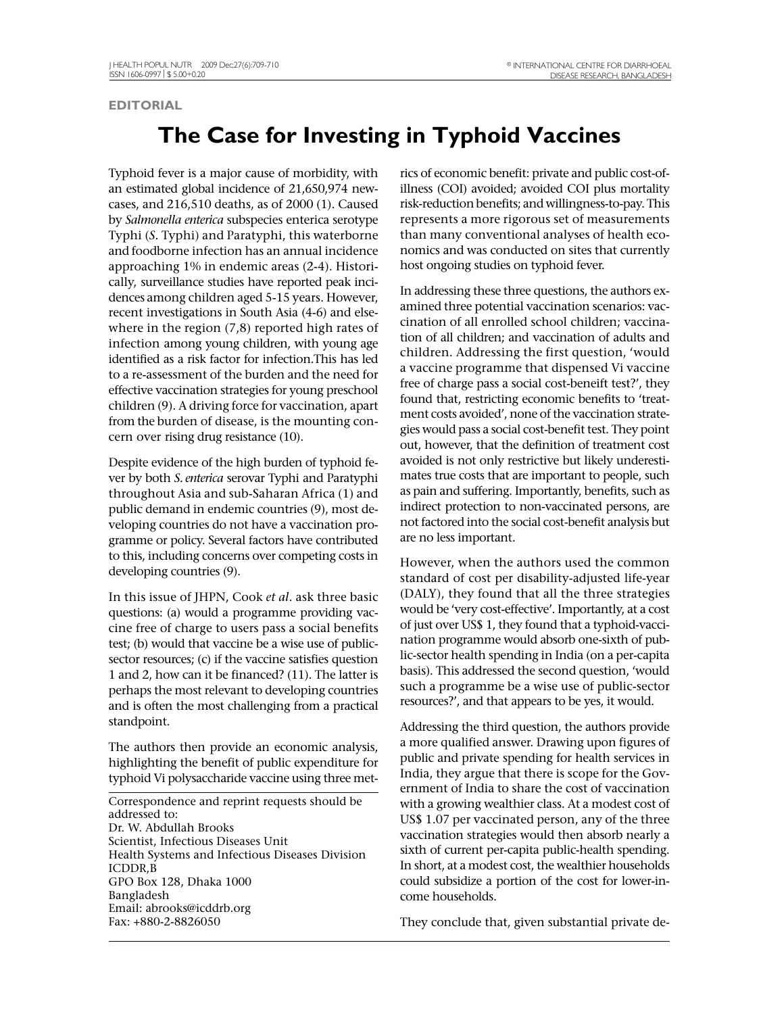## **EDITORIAL**

## **The Case for Investing in Typhoid Vaccines**

Typhoid fever is a major cause of morbidity, with an estimated global incidence of 21,650,974 newcases, and 216,510 deaths, as of 2000 (1). Caused by *Salmonella enterica* subspecies enterica serotype Typhi (*S.* Typhi) and Paratyphi, this waterborne and foodborne infection has an annual incidence approaching 1% in endemic areas (2-4). Historically, surveillance studies have reported peak incidences among children aged 5-15 years. However, recent investigations in South Asia (4-6) and elsewhere in the region (7,8) reported high rates of infection among young children, with young age identified as a risk factor for infection.This has led to a re-assessment of the burden and the need for effective vaccination strategies for young preschool children (9). A driving force for vaccination, apart from the burden of disease, is the mounting concern over rising drug resistance (10).

Despite evidence of the high burden of typhoid fever by both *S. enterica* serovar Typhi and Paratyphi throughout Asia and sub-Saharan Africa (1) and public demand in endemic countries (9), most developing countries do not have a vaccination programme or policy. Several factors have contributed to this, including concerns over competing costs in developing countries (9).

In this issue of JHPN, Cook *et al*. ask three basic questions: (a) would a programme providing vaccine free of charge to users pass a social benefits test; (b) would that vaccine be a wise use of publicsector resources; (c) if the vaccine satisfies question 1 and 2, how can it be financed? (11). The latter is perhaps the most relevant to developing countries and is often the most challenging from a practical standpoint.

The authors then provide an economic analysis, highlighting the benefit of public expenditure for typhoid Vi polysaccharide vaccine using three met-

Correspondence and reprint requests should be addressed to: Dr. W. Abdullah Brooks Scientist, Infectious Diseases Unit Health Systems and Infectious Diseases Division ICDDR,B GPO Box 128, Dhaka 1000 Bangladesh Email: abrooks@icddrb.org Fax: +880-2-8826050

rics of economic benefit: private and public cost-ofillness (COI) avoided; avoided COI plus mortality risk-reduction benefits; and willingness-to-pay. This represents a more rigorous set of measurements than many conventional analyses of health economics and was conducted on sites that currently host ongoing studies on typhoid fever.

In addressing these three questions, the authors examined three potential vaccination scenarios: vaccination of all enrolled school children; vaccination of all children; and vaccination of adults and children. Addressing the first question, 'would a vaccine programme that dispensed Vi vaccine free of charge pass a social cost-beneift test?', they found that, restricting economic benefits to 'treatment costs avoided', none of the vaccination strategies would pass a social cost-benefit test. They point out, however, that the definition of treatment cost avoided is not only restrictive but likely underestimates true costs that are important to people, such as pain and suffering. Importantly, benefits, such as indirect protection to non-vaccinated persons, are not factored into the social cost-benefit analysis but are no less important.

However, when the authors used the common standard of cost per disability-adjusted life-year (DALY), they found that all the three strategies would be 'very cost-effective'. Importantly, at a cost of just over US\$ 1, they found that a typhoid-vaccination programme would absorb one-sixth of public-sector health spending in India (on a per-capita basis). This addressed the second question, 'would such a programme be a wise use of public-sector resources?', and that appears to be yes, it would.

Addressing the third question, the authors provide a more qualified answer. Drawing upon figures of public and private spending for health services in India, they argue that there is scope for the Government of India to share the cost of vaccination with a growing wealthier class. At a modest cost of US\$ 1.07 per vaccinated person, any of the three vaccination strategies would then absorb nearly a sixth of current per-capita public-health spending. In short, at a modest cost, the wealthier households could subsidize a portion of the cost for lower-income households.

They conclude that, given substantial private de-